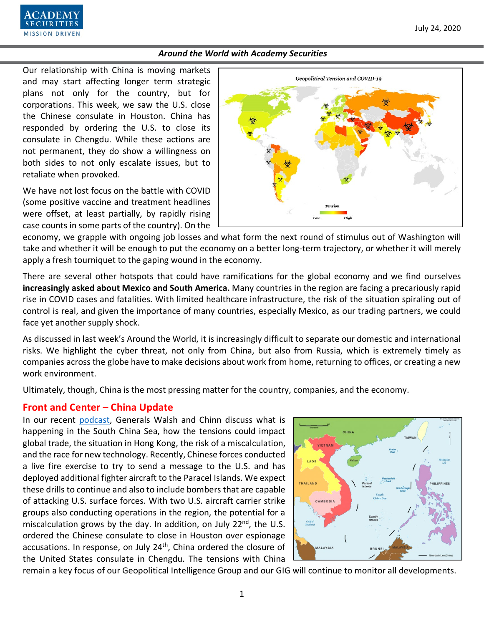

Our relationship with China is moving markets and may start affecting longer term strategic plans not only for the country, but for corporations. This week, we saw the U.S. close the Chinese consulate in Houston. China has responded by ordering the U.S. to close its consulate in Chengdu. While these actions are not permanent, they do show a willingness on both sides to not only escalate issues, but to retaliate when provoked.

We have not lost focus on the battle with COVID (some positive vaccine and treatment headlines were offset, at least partially, by rapidly rising case counts in some parts of the country). On the



economy, we grapple with ongoing job losses and what form the next round of stimulus out of Washington will take and whether it will be enough to put the economy on a better long-term trajectory, or whether it will merely apply a fresh tourniquet to the gaping wound in the economy.

There are several other hotspots that could have ramifications for the global economy and we find ourselves **increasingly asked about Mexico and South America.** Many countries in the region are facing a precariously rapid rise in COVID cases and fatalities. With limited healthcare infrastructure, the risk of the situation spiraling out of control is real, and given the importance of many countries, especially Mexico, as our trading partners, we could face yet another supply shock.

As discussed in last week's Around the World, it is increasingly difficult to separate our domestic and international risks. We highlight the cyber threat, not only from China, but also from Russia, which is extremely timely as companies across the globe have to make decisions about work from home, returning to offices, or creating a new work environment.

Ultimately, though, China is the most pressing matter for the country, companies, and the economy.

## **Front and Center – China Update**

In our recent [podcast,](https://www.academysecurities.com/geopolitical/geopolitical-podcasts/) Generals Walsh and Chinn discuss what is happening in the South China Sea, how the tensions could impact global trade, the situation in Hong Kong, the risk of a miscalculation, and the race for new technology. Recently, Chinese forces conducted a live fire exercise to try to send a message to the U.S. and has deployed additional fighter aircraft to the Paracel Islands. We expect these drills to continue and also to include bombers that are capable of attacking U.S. surface forces. With two U.S. aircraft carrier strike groups also conducting operations in the region, the potential for a miscalculation grows by the day. In addition, on July  $22^{nd}$ , the U.S. ordered the Chinese consulate to close in Houston over espionage accusations. In response, on July 24<sup>th</sup>, China ordered the closure of the United States consulate in Chengdu. The tensions with China



remain a key focus of our Geopolitical Intelligence Group and our GIG will continue to monitor all developments.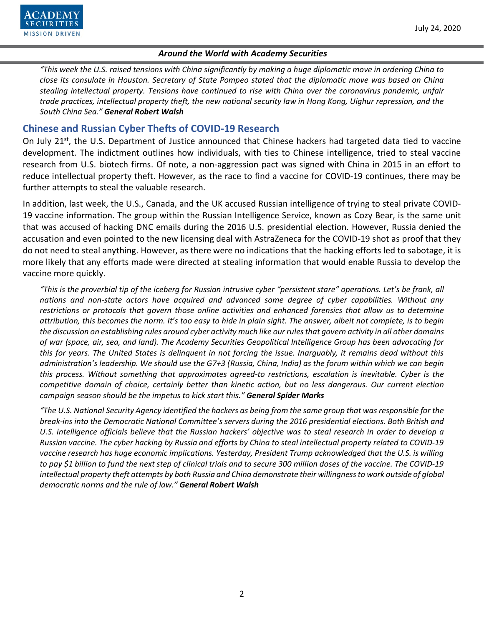

*"This week the U.S. raised tensions with China significantly by making a huge diplomatic move in ordering China to close its consulate in Houston. Secretary of State Pompeo stated that the diplomatic move was based on China stealing intellectual property. Tensions have continued to rise with China over the coronavirus pandemic, unfair trade practices, intellectual property theft, the new national security law in Hong Kong, Uighur repression, and the South China Sea." General Robert Walsh*

# **Chinese and Russian Cyber Thefts of COVID-19 Research**

On July 21<sup>st</sup>, the U.S. Department of Justice announced that Chinese hackers had targeted data tied to vaccine development. The indictment outlines how individuals, with ties to Chinese intelligence, tried to steal vaccine research from U.S. biotech firms. Of note, a non-aggression pact was signed with China in 2015 in an effort to reduce intellectual property theft. However, as the race to find a vaccine for COVID-19 continues, there may be further attempts to steal the valuable research.

In addition, last week, the U.S., Canada, and the UK accused Russian intelligence of trying to steal private COVID-19 vaccine information. The group within the Russian Intelligence Service, known as Cozy Bear, is the same unit that was accused of hacking DNC emails during the 2016 U.S. presidential election. However, Russia denied the accusation and even pointed to the new licensing deal with AstraZeneca for the COVID-19 shot as proof that they do not need to steal anything. However, as there were no indications that the hacking efforts led to sabotage, it is more likely that any efforts made were directed at stealing information that would enable Russia to develop the vaccine more quickly.

*"This is the proverbial tip of the iceberg for Russian intrusive cyber "persistent stare" operations. Let's be frank, all nations and non-state actors have acquired and advanced some degree of cyber capabilities. Without any restrictions or protocols that govern those online activities and enhanced forensics that allow us to determine attribution, this becomes the norm. It's too easy to hide in plain sight. The answer, albeit not complete, is to begin the discussion on establishing rules around cyber activity much like our rules that govern activity in all other domains of war (space, air, sea, and land). The Academy Securities Geopolitical Intelligence Group has been advocating for this for years. The United States is delinquent in not forcing the issue. Inarguably, it remains dead without this administration's leadership. We should use the G7+3 (Russia, China, India) as the forum within which we can begin this process. Without something that approximates agreed-to restrictions, escalation is inevitable. Cyber is the competitive domain of choice, certainly better than kinetic action, but no less dangerous. Our current election campaign season should be the impetus to kick start this." General Spider Marks*

*"The U.S. National Security Agency identified the hackers as being from the same group that was responsible for the break-ins into the Democratic National Committee's servers during the 2016 presidential elections. Both British and U.S. intelligence officials believe that the Russian hackers' objective was to steal research in order to develop a Russian vaccine. The cyber hacking by Russia and efforts by China to steal intellectual property related to COVID-19 vaccine research has huge economic implications. Yesterday, President Trump acknowledged that the U.S. is willing to pay \$1 billion to fund the next step of clinical trials and to secure 300 million doses of the vaccine. The COVID-19 intellectual property theft attempts by both Russia and China demonstrate their willingness to work outside of global democratic norms and the rule of law." General Robert Walsh*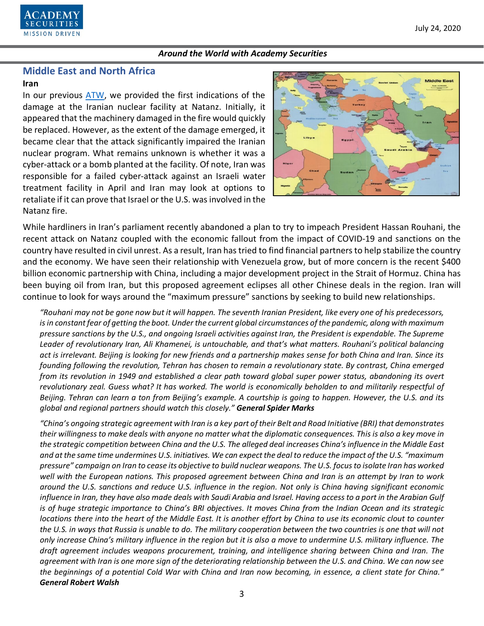

# **Middle East and North Africa**

#### **Iran**

In our previous [ATW,](https://www.academysecurities.com/wordpress/wp-content/uploads/2020/07/Around-the-World-with-Academy-Securities_7-10-20.pdf) we provided the first indications of the damage at the Iranian nuclear facility at Natanz. Initially, it appeared that the machinery damaged in the fire would quickly be replaced. However, as the extent of the damage emerged, it became clear that the attack significantly impaired the Iranian nuclear program. What remains unknown is whether it was a cyber-attack or a bomb planted at the facility. Of note, Iran was responsible for a failed cyber-attack against an Israeli water treatment facility in April and Iran may look at options to retaliate if it can prove that Israel or the U.S. was involved in the Natanz fire.



While hardliners in Iran's parliament recently abandoned a plan to try to impeach President Hassan Rouhani, the recent attack on Natanz coupled with the economic fallout from the impact of COVID-19 and sanctions on the country have resulted in civil unrest. As a result, Iran has tried to find financial partners to help stabilize the country and the economy. We have seen their relationship with Venezuela grow, but of more concern is the recent \$400 billion economic partnership with China, including a major development project in the Strait of Hormuz. China has been buying oil from Iran, but this proposed agreement eclipses all other Chinese deals in the region. Iran will continue to look for ways around the "maximum pressure" sanctions by seeking to build new relationships.

*"Rouhani may not be gone now but it will happen. The seventh Iranian President, like every one of his predecessors, is in constant fear of getting the boot. Under the current global circumstances of the pandemic, along with maximum pressure sanctions by the U.S., and ongoing Israeli activities against Iran, the President is expendable. The Supreme Leader of revolutionary Iran, Ali Khamenei, is untouchable, and that's what matters. Rouhani's political balancing act is irrelevant. Beijing is looking for new friends and a partnership makes sense for both China and Iran. Since its founding following the revolution, Tehran has chosen to remain a revolutionary state. By contrast, China emerged from its revolution in 1949 and established a clear path toward global super power status, abandoning its overt revolutionary zeal. Guess what? It has worked. The world is economically beholden to and militarily respectful of Beijing. Tehran can learn a ton from Beijing's example. A courtship is going to happen. However, the U.S. and its global and regional partners should watch this closely." General Spider Marks*

*"China's ongoing strategic agreement with Iran is a key part of their Belt and Road Initiative (BRI) that demonstrates their willingness to make deals with anyone no matter what the diplomatic consequences. This is also a key move in the strategic competition between China and the U.S. The alleged deal increases China's influence in the Middle East and at the same time undermines U.S. initiatives. We can expect the deal to reduce the impact of the U.S. "maximum pressure" campaign on Iran to cease its objective to build nuclear weapons. The U.S. focus to isolate Iran has worked well with the European nations. This proposed agreement between China and Iran is an attempt by Iran to work around the U.S. sanctions and reduce U.S. influence in the region. Not only is China having significant economic influence in Iran, they have also made deals with Saudi Arabia and Israel. Having access to a port in the Arabian Gulf is of huge strategic importance to China's BRI objectives. It moves China from the Indian Ocean and its strategic locations there into the heart of the Middle East. It is another effort by China to use its economic clout to counter the U.S. in ways that Russia is unable to do. The military cooperation between the two countries is one that will not only increase China's military influence in the region but it is also a move to undermine U.S. military influence. The draft agreement includes weapons procurement, training, and intelligence sharing between China and Iran. The agreement with Iran is one more sign of the deteriorating relationship between the U.S. and China. We can now see the beginnings of a potential Cold War with China and Iran now becoming, in essence, a client state for China." General Robert Walsh*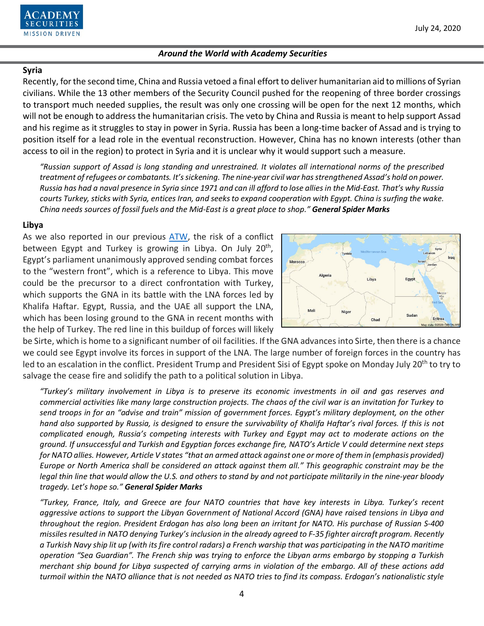

#### **Syria**

Recently, for the second time, China and Russia vetoed a final effort to deliver humanitarian aid to millions of Syrian civilians. While the 13 other members of the Security Council pushed for the reopening of three border crossings to transport much needed supplies, the result was only one crossing will be open for the next 12 months, which will not be enough to address the humanitarian crisis. The veto by China and Russia is meant to help support Assad and his regime as it struggles to stay in power in Syria. Russia has been a long-time backer of Assad and is trying to position itself for a lead role in the eventual reconstruction. However, China has no known interests (other than access to oil in the region) to protect in Syria and it is unclear why it would support such a measure.

*"Russian support of Assad is long standing and unrestrained. It violates all international norms of the prescribed treatment of refugees or combatants. It's sickening. The nine-year civil war has strengthened Assad's hold on power. Russia has had a naval presence in Syria since 1971 and can ill afford to lose allies in the Mid-East. That's why Russia courts Turkey, sticks with Syria, entices Iran, and seeks to expand cooperation with Egypt. China is surfing the wake. China needs sources of fossil fuels and the Mid-East is a great place to shop." General Spider Marks*

#### **Libya**

As we also reported in our previous [ATW,](https://www.academysecurities.com/wordpress/wp-content/uploads/2020/07/Around-the-World-with-Academy-Securities_7-10-20.pdf) the risk of a conflict between Egypt and Turkey is growing in Libya. On July 20<sup>th</sup>, Egypt's parliament unanimously approved sending combat forces to the "western front", which is a reference to Libya. This move could be the precursor to a direct confrontation with Turkey, which supports the GNA in its battle with the LNA forces led by Khalifa Haftar. Egypt, Russia, and the UAE all support the LNA, which has been losing ground to the GNA in recent months with the help of Turkey. The red line in this buildup of forces will likely



be Sirte, which is home to a significant number of oil facilities. If the GNA advances into Sirte, then there is a chance we could see Egypt involve its forces in support of the LNA. The large number of foreign forces in the country has led to an escalation in the conflict. President Trump and President Sisi of Egypt spoke on Monday July 20<sup>th</sup> to try to salvage the cease fire and solidify the path to a political solution in Libya.

*"Turkey's military involvement in Libya is to preserve its economic investments in oil and gas reserves and commercial activities like many large construction projects. The chaos of the civil war is an invitation for Turkey to send troops in for an "advise and train" mission of government forces. Egypt's military deployment, on the other hand also supported by Russia, is designed to ensure the survivability of Khalifa Haftar's rival forces. If this is not complicated enough, Russia's competing interests with Turkey and Egypt may act to moderate actions on the ground. If unsuccessful and Turkish and Egyptian forces exchange fire, NATO's Article V could determine next steps for NATO allies. However, Article V states "that an armed attack against one or more of them in (emphasis provided) Europe or North America shall be considered an attack against them all." This geographic constraint may be the legal thin line that would allow the U.S. and others to stand by and not participate militarily in the nine-year bloody tragedy. Let's hope so." General Spider Marks*

*"Turkey, France, Italy, and Greece are four NATO countries that have key interests in Libya. Turkey's recent aggressive actions to support the Libyan Government of National Accord (GNA) have raised tensions in Libya and throughout the region. President Erdogan has also long been an irritant for NATO. His purchase of Russian S-400 missiles resulted in NATO denying Turkey's inclusion in the already agreed to F-35 fighter aircraft program. Recently a Turkish Navy ship lit up (with its fire control radars) a French warship that was participating in the NATO maritime operation "Sea Guardian". The French ship was trying to enforce the Libyan arms embargo by stopping a Turkish merchant ship bound for Libya suspected of carrying arms in violation of the embargo. All of these actions add turmoil within the NATO alliance that is not needed as NATO tries to find its compass. Erdogan's nationalistic style*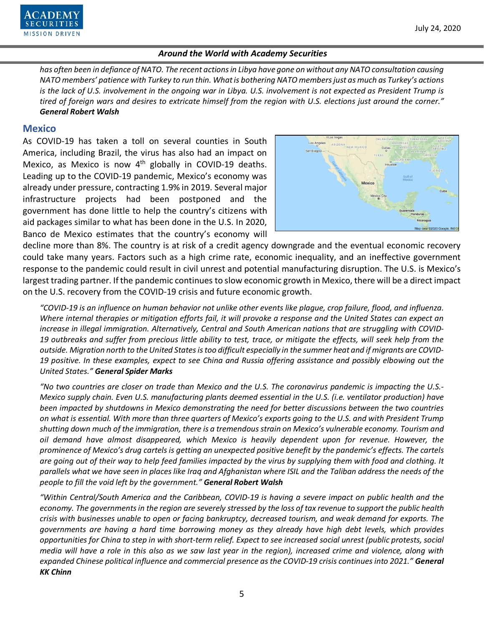

*has often been in defiance of NATO. The recent actions in Libya have gone on without any NATO consultation causing NATO members' patience with Turkey to run thin. What is bothering NATO members just as much as Turkey's actions is the lack of U.S. involvement in the ongoing war in Libya. U.S. involvement is not expected as President Trump is tired of foreign wars and desires to extricate himself from the region with U.S. elections just around the corner." General Robert Walsh*

#### **Mexico**

As COVID-19 has taken a toll on several counties in South America, including Brazil, the virus has also had an impact on Mexico, as Mexico is now  $4<sup>th</sup>$  globally in COVID-19 deaths. Leading up to the COVID-19 pandemic, Mexico's economy was already under pressure, contracting 1.9% in 2019. Several major infrastructure projects had been postponed and the government has done little to help the country's citizens with aid packages similar to what has been done in the U.S. In 2020, Banco de Mexico estimates that the country's economy will



decline more than 8%. The country is at risk of a credit agency downgrade and the eventual economic recovery could take many years. Factors such as a high crime rate, economic inequality, and an ineffective government response to the pandemic could result in civil unrest and potential manufacturing disruption. The U.S. is Mexico's largest trading partner. If the pandemic continues to slow economic growth in Mexico, there will be a direct impact on the U.S. recovery from the COVID-19 crisis and future economic growth.

*"COVID-19 is an influence on human behavior not unlike other events like plague, crop failure, flood, and influenza. Where internal therapies or mitigation efforts fail, it will provoke a response and the United States can expect an increase in illegal immigration. Alternatively, Central and South American nations that are struggling with COVID-19 outbreaks and suffer from precious little ability to test, trace, or mitigate the effects, will seek help from the outside. Migration north to the United States is too difficult especially in the summer heat and if migrants are COVID-19 positive. In these examples, expect to see China and Russia offering assistance and possibly elbowing out the United States." General Spider Marks*

*"No two countries are closer on trade than Mexico and the U.S. The coronavirus pandemic is impacting the U.S.- Mexico supply chain. Even U.S. manufacturing plants deemed essential in the U.S. (i.e. ventilator production) have been impacted by shutdowns in Mexico demonstrating the need for better discussions between the two countries on what is essential. With more than three quarters of Mexico's exports going to the U.S. and with President Trump shutting down much of the immigration, there is a tremendous strain on Mexico's vulnerable economy. Tourism and oil demand have almost disappeared, which Mexico is heavily dependent upon for revenue. However, the prominence of Mexico's drug cartels is getting an unexpected positive benefit by the pandemic's effects. The cartels are going out of their way to help feed families impacted by the virus by supplying them with food and clothing. It parallels what we have seen in places like Iraq and Afghanistan where ISIL and the Taliban address the needs of the people to fill the void left by the government." General Robert Walsh*

*"Within Central/South America and the Caribbean, COVID-19 is having a severe impact on public health and the economy. The governments in the region are severely stressed by the loss of tax revenue to support the public health crisis with businesses unable to open or facing bankruptcy, decreased tourism, and weak demand for exports. The governments are having a hard time borrowing money as they already have high debt levels, which provides opportunities for China to step in with short-term relief. Expect to see increased social unrest (public protests, social media will have a role in this also as we saw last year in the region), increased crime and violence, along with expanded Chinese political influence and commercial presence as the COVID-19 crisis continues into 2021." General KK Chinn*